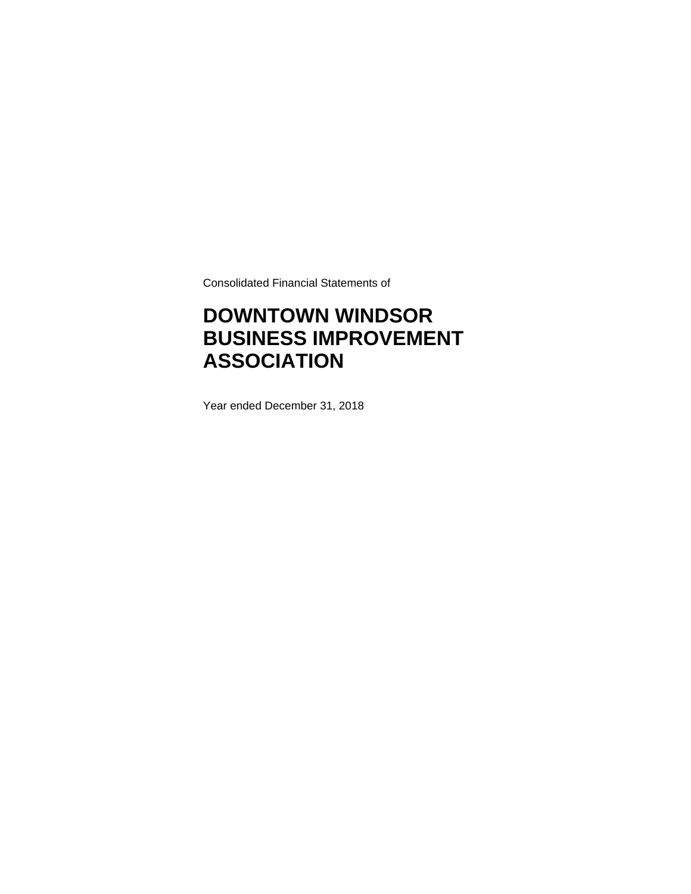Consolidated Financial Statements of

# **DOWNTOWN WINDSOR BUSINESS IMPROVEMENT ASSOCIATION**

Year ended December 31, 2018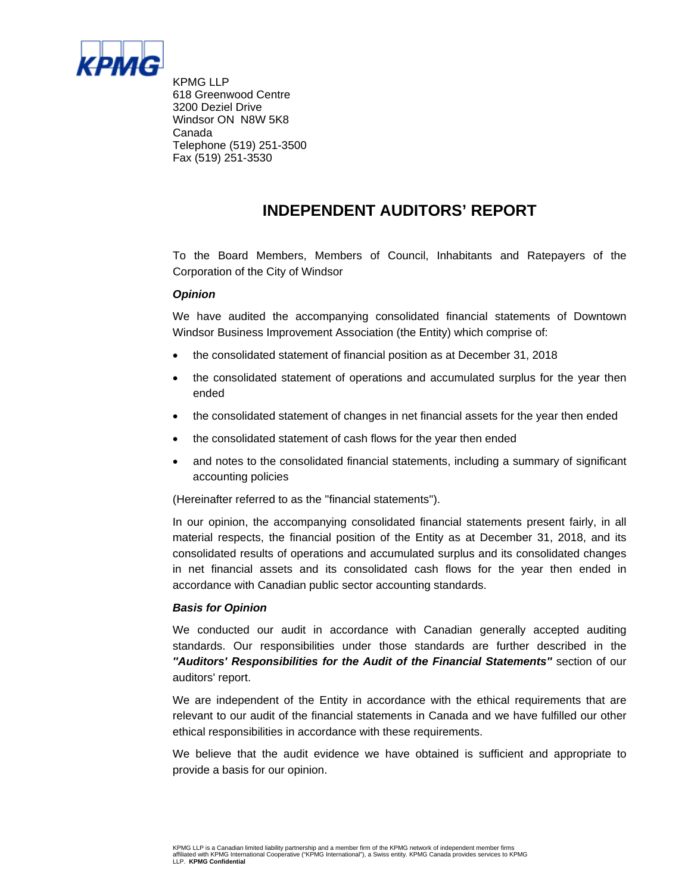

KPMG LLP 618 Greenwood Centre 3200 Deziel Drive Windsor ON N8W 5K8 Canada Telephone (519) 251-3500 Fax (519) 251-3530

## **INDEPENDENT AUDITORS' REPORT**

To the Board Members, Members of Council, Inhabitants and Ratepayers of the Corporation of the City of Windsor

#### *Opinion*

We have audited the accompanying consolidated financial statements of Downtown Windsor Business Improvement Association (the Entity) which comprise of:

- the consolidated statement of financial position as at December 31, 2018
- the consolidated statement of operations and accumulated surplus for the year then ended
- the consolidated statement of changes in net financial assets for the year then ended
- the consolidated statement of cash flows for the year then ended
- and notes to the consolidated financial statements, including a summary of significant accounting policies

(Hereinafter referred to as the ''financial statements'').

In our opinion, the accompanying consolidated financial statements present fairly, in all material respects, the financial position of the Entity as at December 31, 2018, and its consolidated results of operations and accumulated surplus and its consolidated changes in net financial assets and its consolidated cash flows for the year then ended in accordance with Canadian public sector accounting standards.

#### *Basis for Opinion*

We conducted our audit in accordance with Canadian generally accepted auditing standards. Our responsibilities under those standards are further described in the *''Auditors' Responsibilities for the Audit of the Financial Statements''* section of our auditors' report.

We are independent of the Entity in accordance with the ethical requirements that are relevant to our audit of the financial statements in Canada and we have fulfilled our other ethical responsibilities in accordance with these requirements.

We believe that the audit evidence we have obtained is sufficient and appropriate to provide a basis for our opinion.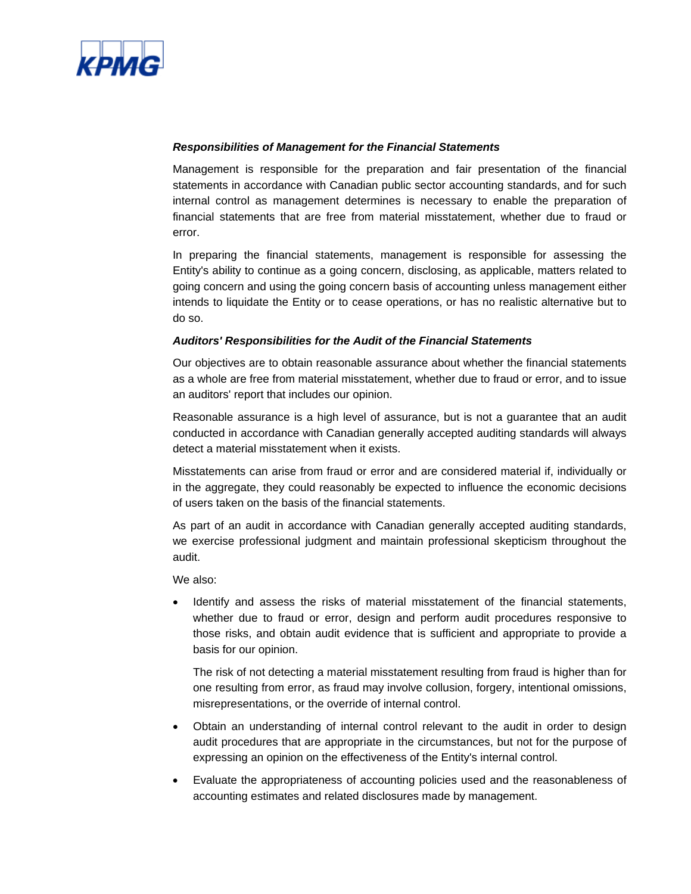

#### *Responsibilities of Management for the Financial Statements*

Management is responsible for the preparation and fair presentation of the financial statements in accordance with Canadian public sector accounting standards, and for such internal control as management determines is necessary to enable the preparation of financial statements that are free from material misstatement, whether due to fraud or error.

In preparing the financial statements, management is responsible for assessing the Entity's ability to continue as a going concern, disclosing, as applicable, matters related to going concern and using the going concern basis of accounting unless management either intends to liquidate the Entity or to cease operations, or has no realistic alternative but to do so.

### *Auditors' Responsibilities for the Audit of the Financial Statements*

Our objectives are to obtain reasonable assurance about whether the financial statements as a whole are free from material misstatement, whether due to fraud or error, and to issue an auditors' report that includes our opinion.

Reasonable assurance is a high level of assurance, but is not a guarantee that an audit conducted in accordance with Canadian generally accepted auditing standards will always detect a material misstatement when it exists.

Misstatements can arise from fraud or error and are considered material if, individually or in the aggregate, they could reasonably be expected to influence the economic decisions of users taken on the basis of the financial statements.

As part of an audit in accordance with Canadian generally accepted auditing standards, we exercise professional judgment and maintain professional skepticism throughout the audit.

We also:

• Identify and assess the risks of material misstatement of the financial statements, whether due to fraud or error, design and perform audit procedures responsive to those risks, and obtain audit evidence that is sufficient and appropriate to provide a basis for our opinion.

The risk of not detecting a material misstatement resulting from fraud is higher than for one resulting from error, as fraud may involve collusion, forgery, intentional omissions, misrepresentations, or the override of internal control.

- Obtain an understanding of internal control relevant to the audit in order to design audit procedures that are appropriate in the circumstances, but not for the purpose of expressing an opinion on the effectiveness of the Entity's internal control.
- Evaluate the appropriateness of accounting policies used and the reasonableness of accounting estimates and related disclosures made by management.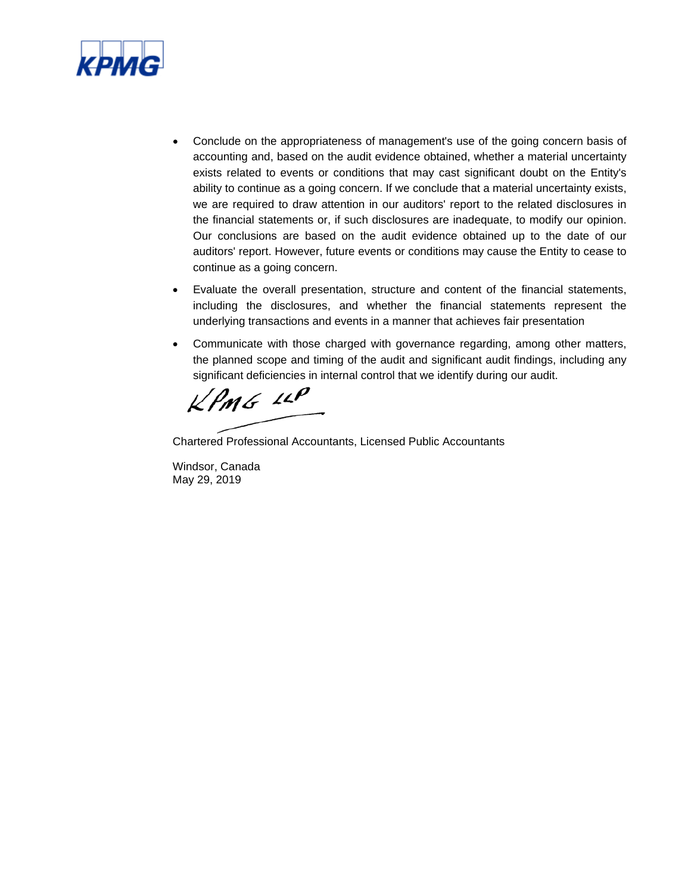

- Conclude on the appropriateness of management's use of the going concern basis of accounting and, based on the audit evidence obtained, whether a material uncertainty exists related to events or conditions that may cast significant doubt on the Entity's ability to continue as a going concern. If we conclude that a material uncertainty exists, we are required to draw attention in our auditors' report to the related disclosures in the financial statements or, if such disclosures are inadequate, to modify our opinion. Our conclusions are based on the audit evidence obtained up to the date of our auditors' report. However, future events or conditions may cause the Entity to cease to continue as a going concern.
- Evaluate the overall presentation, structure and content of the financial statements, including the disclosures, and whether the financial statements represent the underlying transactions and events in a manner that achieves fair presentation
- Communicate with those charged with governance regarding, among other matters, the planned scope and timing of the audit and significant audit findings, including any significant deficiencies in internal control that we identify during our audit.

 $KPMG$  11P

Chartered Professional Accountants, Licensed Public Accountants

Windsor, Canada May 29, 2019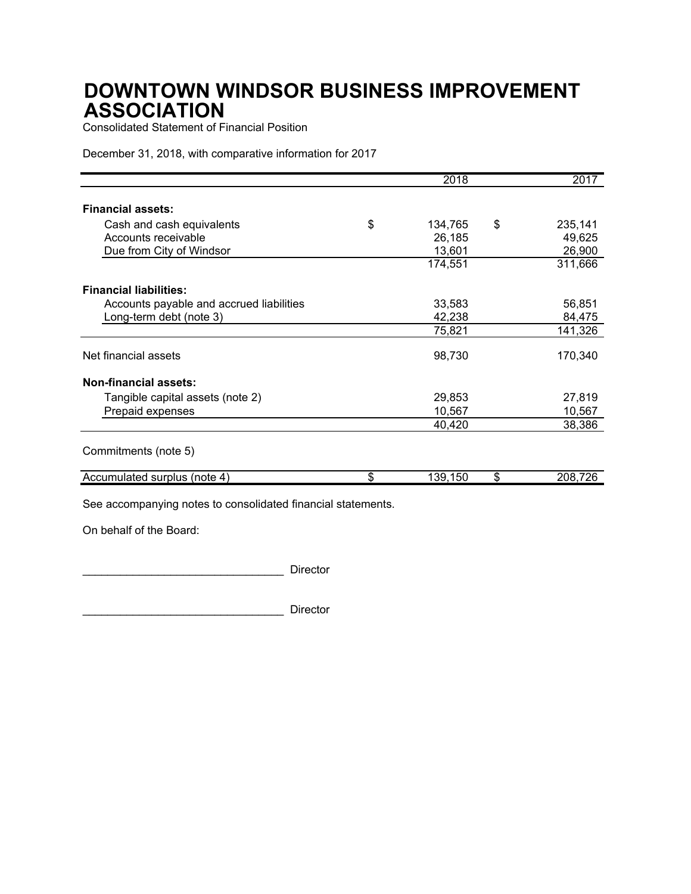Consolidated Statement of Financial Position

December 31, 2018, with comparative information for 2017

|                                          | 2018          | 2017          |
|------------------------------------------|---------------|---------------|
| <b>Financial assets:</b>                 |               |               |
| Cash and cash equivalents                | \$<br>134,765 | \$<br>235,141 |
| Accounts receivable                      | 26,185        | 49,625        |
| Due from City of Windsor                 | 13,601        | 26,900        |
|                                          | 174,551       | 311,666       |
| <b>Financial liabilities:</b>            |               |               |
| Accounts payable and accrued liabilities | 33,583        | 56,851        |
| Long-term debt (note 3)                  | 42,238        | 84,475        |
|                                          | 75,821        | 141,326       |
| Net financial assets                     | 98,730        | 170,340       |
| <b>Non-financial assets:</b>             |               |               |
| Tangible capital assets (note 2)         | 29,853        | 27,819        |
| Prepaid expenses                         | 10,567        | 10,567        |
|                                          | 40,420        | 38,386        |
| Commitments (note 5)                     |               |               |
| Accumulated surplus (note 4)             | \$<br>139,150 | \$<br>208,726 |

See accompanying notes to consolidated financial statements.

On behalf of the Board:

\_\_\_\_\_\_\_\_\_\_\_\_\_\_\_\_\_\_\_\_\_\_\_\_\_\_\_\_\_\_\_\_ Director

\_\_\_\_\_\_\_\_\_\_\_\_\_\_\_\_\_\_\_\_\_\_\_\_\_\_\_\_\_\_\_\_ Director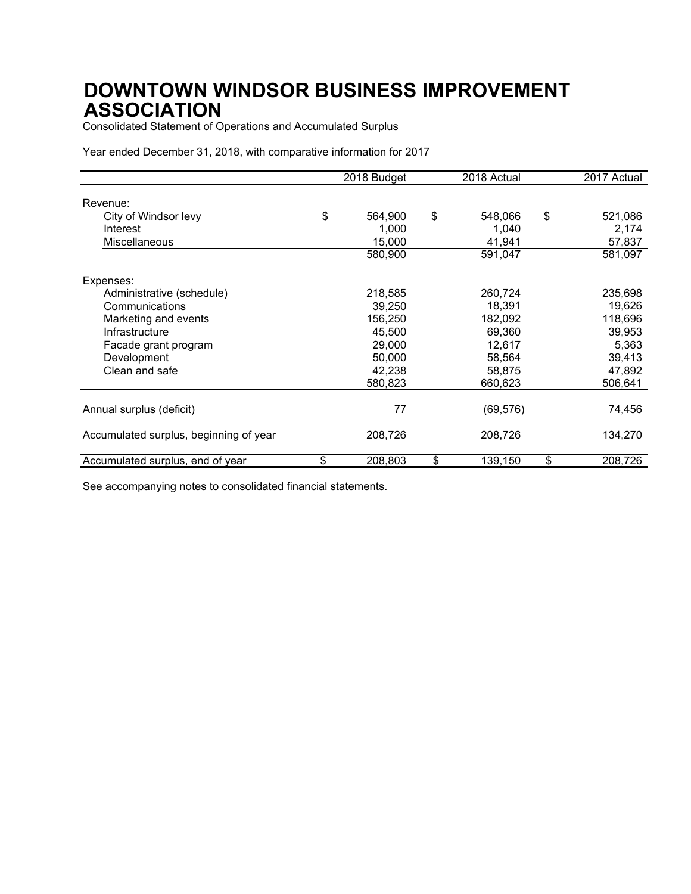Consolidated Statement of Operations and Accumulated Surplus

Year ended December 31, 2018, with comparative information for 2017

|                                        | 2018 Budget     | 2018 Actual     | 2017 Actual     |
|----------------------------------------|-----------------|-----------------|-----------------|
| Revenue:                               |                 |                 |                 |
| City of Windsor levy                   | \$<br>564,900   | \$<br>548,066   | \$<br>521,086   |
| Interest<br><b>Miscellaneous</b>       | 1,000<br>15,000 | 1,040<br>41,941 | 2,174<br>57,837 |
|                                        | 580,900         | 591,047         | 581,097         |
| Expenses:                              |                 |                 |                 |
| Administrative (schedule)              | 218,585         | 260,724         | 235,698         |
| Communications                         | 39,250          | 18,391          | 19,626          |
| Marketing and events                   | 156,250         | 182,092         | 118,696         |
| Infrastructure                         | 45,500          | 69,360          | 39,953          |
| Facade grant program                   | 29,000          | 12,617          | 5,363           |
| Development                            | 50,000          | 58,564          | 39,413          |
| Clean and safe                         | 42,238          | 58,875          | 47,892          |
|                                        | 580,823         | 660,623         | 506,641         |
| Annual surplus (deficit)               | 77              | (69, 576)       | 74,456          |
| Accumulated surplus, beginning of year | 208,726         | 208,726         | 134,270         |
| Accumulated surplus, end of year       | \$<br>208,803   | \$<br>139,150   | \$<br>208,726   |

See accompanying notes to consolidated financial statements.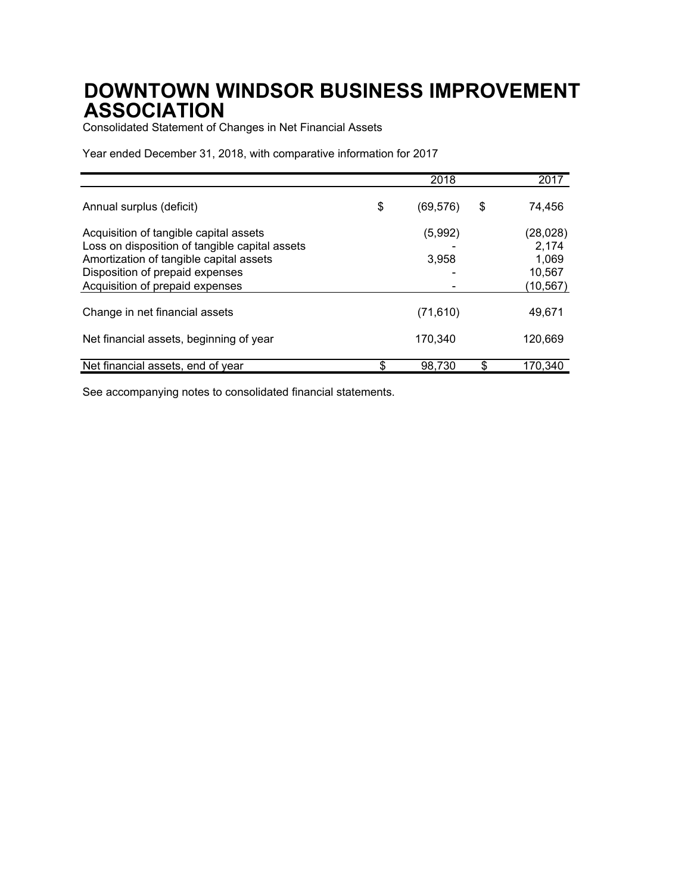Consolidated Statement of Changes in Net Financial Assets

Year ended December 31, 2018, with comparative information for 2017

|                                                                                                                                                                                                           | 2018             | 2017                                             |
|-----------------------------------------------------------------------------------------------------------------------------------------------------------------------------------------------------------|------------------|--------------------------------------------------|
| Annual surplus (deficit)                                                                                                                                                                                  | \$<br>(69, 576)  | \$<br>74,456                                     |
| Acquisition of tangible capital assets<br>Loss on disposition of tangible capital assets<br>Amortization of tangible capital assets<br>Disposition of prepaid expenses<br>Acquisition of prepaid expenses | (5,992)<br>3,958 | (28,028)<br>2,174<br>1,069<br>10,567<br>(10,567) |
| Change in net financial assets                                                                                                                                                                            | (71, 610)        | 49,671                                           |
| Net financial assets, beginning of year                                                                                                                                                                   | 170,340          | 120,669                                          |
| Net financial assets, end of year                                                                                                                                                                         | 98,730           | 170.340                                          |

See accompanying notes to consolidated financial statements.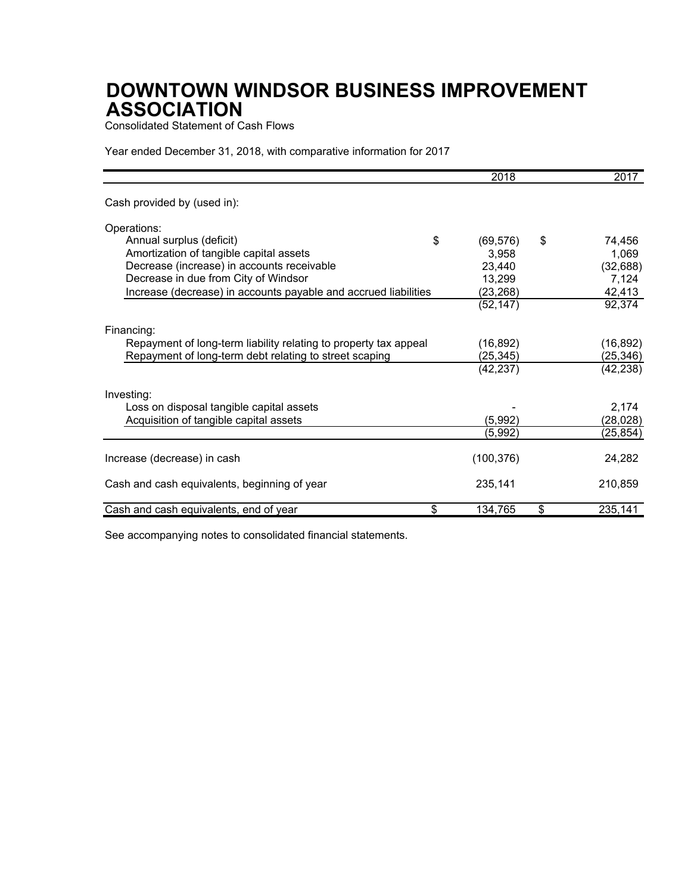Consolidated Statement of Cash Flows

Year ended December 31, 2018, with comparative information for 2017

|                                                                  | 2018            | 2017          |
|------------------------------------------------------------------|-----------------|---------------|
| Cash provided by (used in):                                      |                 |               |
| Operations:                                                      |                 |               |
| Annual surplus (deficit)                                         | \$<br>(69, 576) | \$<br>74,456  |
| Amortization of tangible capital assets                          | 3,958           | 1,069         |
| Decrease (increase) in accounts receivable                       | 23,440          | (32, 688)     |
| Decrease in due from City of Windsor                             | 13,299          | 7,124         |
| Increase (decrease) in accounts payable and accrued liabilities  | (23, 268)       | 42,413        |
|                                                                  | (52, 147)       | 92,374        |
| Financing:                                                       |                 |               |
| Repayment of long-term liability relating to property tax appeal | (16, 892)       | (16, 892)     |
| Repayment of long-term debt relating to street scaping           | (25, 345)       | (25, 346)     |
|                                                                  | (42, 237)       | (42, 238)     |
| Investing:                                                       |                 |               |
| Loss on disposal tangible capital assets                         |                 | 2,174         |
| Acquisition of tangible capital assets                           | (5,992)         | (28, 028)     |
|                                                                  | (5,992)         | (25, 854)     |
| Increase (decrease) in cash                                      | (100, 376)      | 24,282        |
| Cash and cash equivalents, beginning of year                     | 235,141         | 210,859       |
| Cash and cash equivalents, end of year                           | \$<br>134,765   | \$<br>235,141 |

See accompanying notes to consolidated financial statements.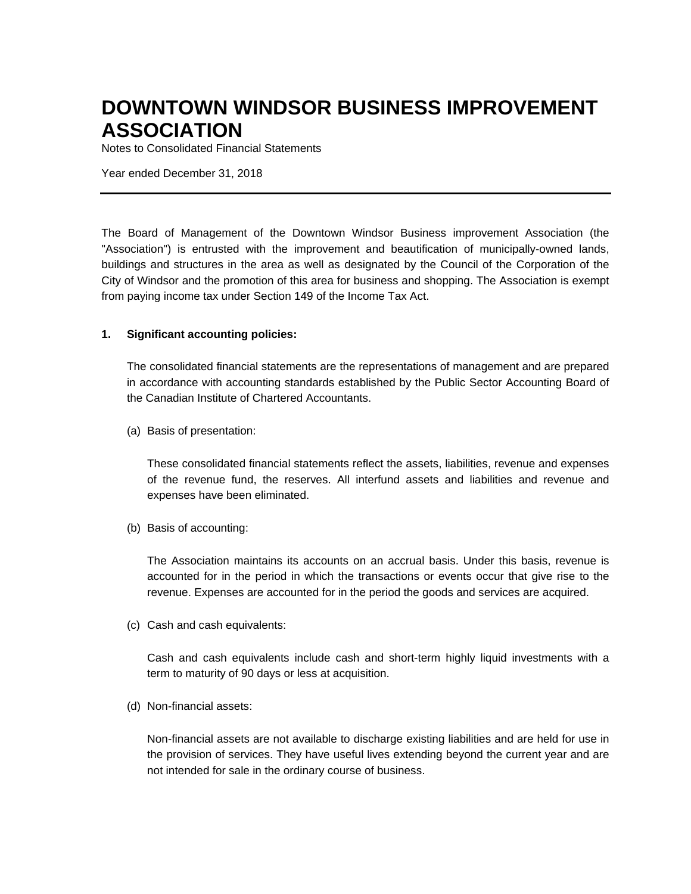Notes to Consolidated Financial Statements

Year ended December 31, 2018

The Board of Management of the Downtown Windsor Business improvement Association (the "Association") is entrusted with the improvement and beautification of municipally-owned lands, buildings and structures in the area as well as designated by the Council of the Corporation of the City of Windsor and the promotion of this area for business and shopping. The Association is exempt from paying income tax under Section 149 of the Income Tax Act.

#### **1. Significant accounting policies:**

The consolidated financial statements are the representations of management and are prepared in accordance with accounting standards established by the Public Sector Accounting Board of the Canadian Institute of Chartered Accountants.

(a) Basis of presentation:

These consolidated financial statements reflect the assets, liabilities, revenue and expenses of the revenue fund, the reserves. All interfund assets and liabilities and revenue and expenses have been eliminated.

(b) Basis of accounting:

The Association maintains its accounts on an accrual basis. Under this basis, revenue is accounted for in the period in which the transactions or events occur that give rise to the revenue. Expenses are accounted for in the period the goods and services are acquired.

(c) Cash and cash equivalents:

Cash and cash equivalents include cash and short-term highly liquid investments with a term to maturity of 90 days or less at acquisition.

(d) Non-financial assets:

Non-financial assets are not available to discharge existing liabilities and are held for use in the provision of services. They have useful lives extending beyond the current year and are not intended for sale in the ordinary course of business.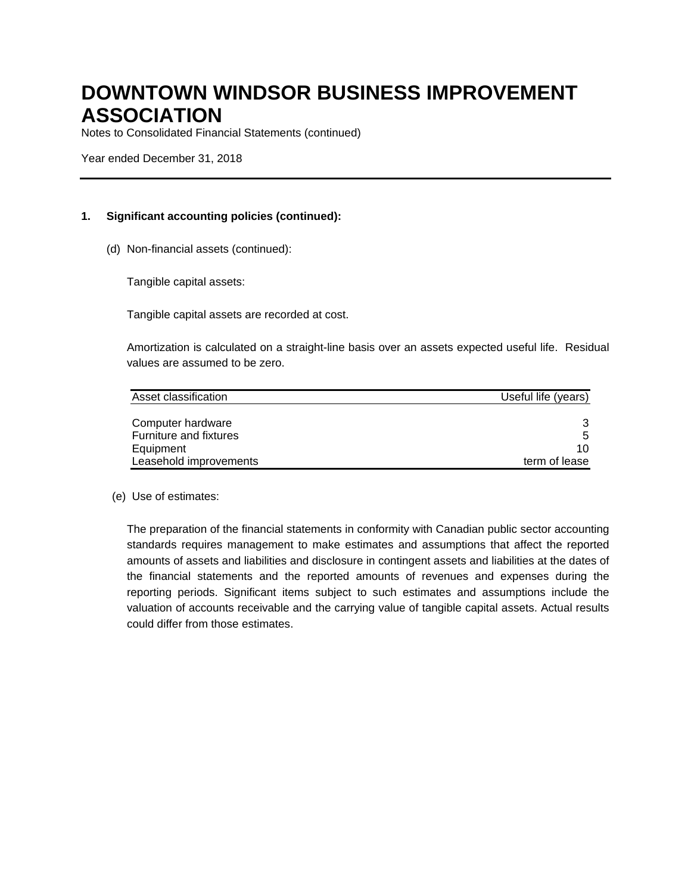Notes to Consolidated Financial Statements (continued)

Year ended December 31, 2018

## **1. Significant accounting policies (continued):**

(d) Non-financial assets (continued):

Tangible capital assets:

Tangible capital assets are recorded at cost.

Amortization is calculated on a straight-line basis over an assets expected useful life. Residual values are assumed to be zero.

| Asset classification   | Useful life (years) |
|------------------------|---------------------|
|                        |                     |
| Computer hardware      |                     |
| Furniture and fixtures | 5                   |
| Equipment              | 10                  |
| Leasehold improvements | term of lease       |

#### (e) Use of estimates:

The preparation of the financial statements in conformity with Canadian public sector accounting standards requires management to make estimates and assumptions that affect the reported amounts of assets and liabilities and disclosure in contingent assets and liabilities at the dates of the financial statements and the reported amounts of revenues and expenses during the reporting periods. Significant items subject to such estimates and assumptions include the valuation of accounts receivable and the carrying value of tangible capital assets. Actual results could differ from those estimates.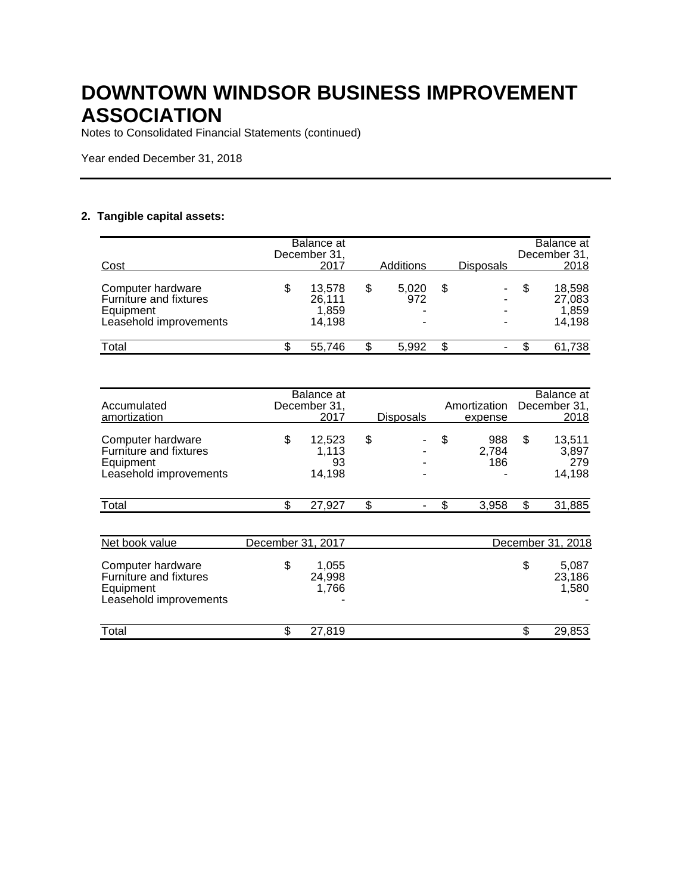Notes to Consolidated Financial Statements (continued)

Year ended December 31, 2018

## **2. Tangible capital assets:**

| Cost                                                                               | Balance at<br>December 31,<br>2017        | <b>Additions</b>                                                 |    | <b>Disposals</b> | Balance at<br>December 31,<br>2018  |
|------------------------------------------------------------------------------------|-------------------------------------------|------------------------------------------------------------------|----|------------------|-------------------------------------|
| Computer hardware<br>Furniture and fixtures<br>Equipment<br>Leasehold improvements | \$<br>13.578<br>26.111<br>1.859<br>14.198 | \$<br>5,020<br>972<br>$\overline{\phantom{0}}$<br>$\blacksquare$ | S  |                  | 18,598<br>27,083<br>1,859<br>14,198 |
| Total                                                                              | 55,746                                    | 5.992                                                            | \$ | ۰                | 61,738                              |

| Accumulated                                                                               |                   | Balance at<br>December 31,      |           | Amortization              | Balance at<br>December 31,             |
|-------------------------------------------------------------------------------------------|-------------------|---------------------------------|-----------|---------------------------|----------------------------------------|
| amortization                                                                              |                   | 2017                            | Disposals | expense                   | 2018                                   |
| Computer hardware<br><b>Furniture and fixtures</b><br>Equipment<br>Leasehold improvements | \$                | 12,523<br>1,113<br>93<br>14,198 | \$        | \$<br>988<br>2,784<br>186 | \$<br>13,511<br>3,897<br>279<br>14,198 |
| Total                                                                                     | \$                | 27,927                          | \$        | \$<br>3,958               | \$<br>31,885                           |
|                                                                                           |                   |                                 |           |                           |                                        |
| Net book value                                                                            | December 31, 2017 |                                 |           |                           | December 31, 2018                      |
| Computer hardware<br>Furniture and fixtures<br>Equipment<br>Leasehold improvements        | \$                | 1,055<br>24,998<br>1,766        |           |                           | \$<br>5,087<br>23,186<br>1,580         |
| Total                                                                                     | \$                | 27,819                          |           |                           | \$<br>29,853                           |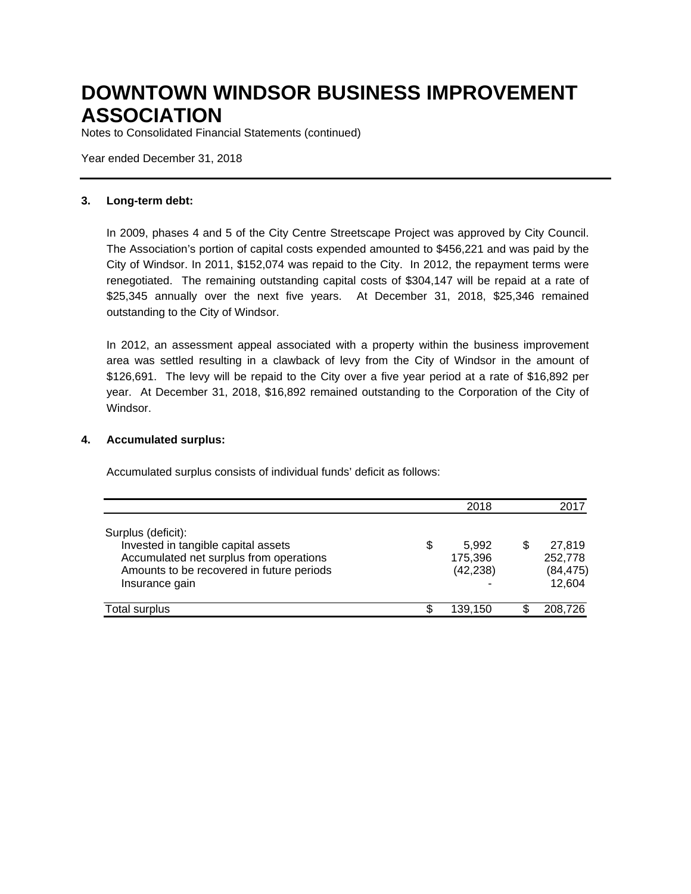Notes to Consolidated Financial Statements (continued)

Year ended December 31, 2018

### **3. Long-term debt:**

In 2009, phases 4 and 5 of the City Centre Streetscape Project was approved by City Council. The Association's portion of capital costs expended amounted to \$456,221 and was paid by the City of Windsor. In 2011, \$152,074 was repaid to the City. In 2012, the repayment terms were renegotiated. The remaining outstanding capital costs of \$304,147 will be repaid at a rate of \$25,345 annually over the next five years. At December 31, 2018, \$25,346 remained outstanding to the City of Windsor.

In 2012, an assessment appeal associated with a property within the business improvement area was settled resulting in a clawback of levy from the City of Windsor in the amount of \$126,691. The levy will be repaid to the City over a five year period at a rate of \$16,892 per year. At December 31, 2018, \$16,892 remained outstanding to the Corporation of the City of Windsor.

### **4. Accumulated surplus:**

Accumulated surplus consists of individual funds' deficit as follows:

|                                                                                                                                                                     |    | 2018                          | 2017                                     |
|---------------------------------------------------------------------------------------------------------------------------------------------------------------------|----|-------------------------------|------------------------------------------|
| Surplus (deficit):<br>Invested in tangible capital assets<br>Accumulated net surplus from operations<br>Amounts to be recovered in future periods<br>Insurance gain | \$ | 5.992<br>175,396<br>(42, 238) | 27.819<br>252,778<br>(84, 475)<br>12,604 |
| Total surplus                                                                                                                                                       | S  | 139,150                       | 208,726                                  |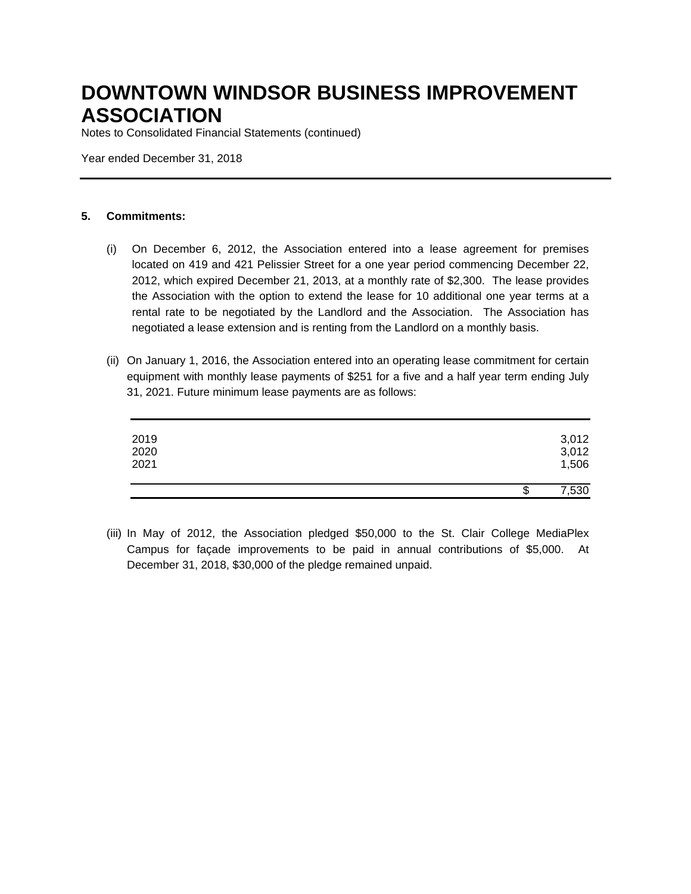Notes to Consolidated Financial Statements (continued)

Year ended December 31, 2018

### **5. Commitments:**

- (i) On December 6, 2012, the Association entered into a lease agreement for premises located on 419 and 421 Pelissier Street for a one year period commencing December 22, 2012, which expired December 21, 2013, at a monthly rate of \$2,300. The lease provides the Association with the option to extend the lease for 10 additional one year terms at a rental rate to be negotiated by the Landlord and the Association. The Association has negotiated a lease extension and is renting from the Landlord on a monthly basis.
- (ii) On January 1, 2016, the Association entered into an operating lease commitment for certain equipment with monthly lease payments of \$251 for a five and a half year term ending July 31, 2021. Future minimum lease payments are as follows:

| 2019<br>2020<br>2021 |    | 3,012<br>3,012<br>1,506 |
|----------------------|----|-------------------------|
|                      | ۰D | 7,530                   |

(iii) In May of 2012, the Association pledged \$50,000 to the St. Clair College MediaPlex Campus for façade improvements to be paid in annual contributions of \$5,000. At December 31, 2018, \$30,000 of the pledge remained unpaid.